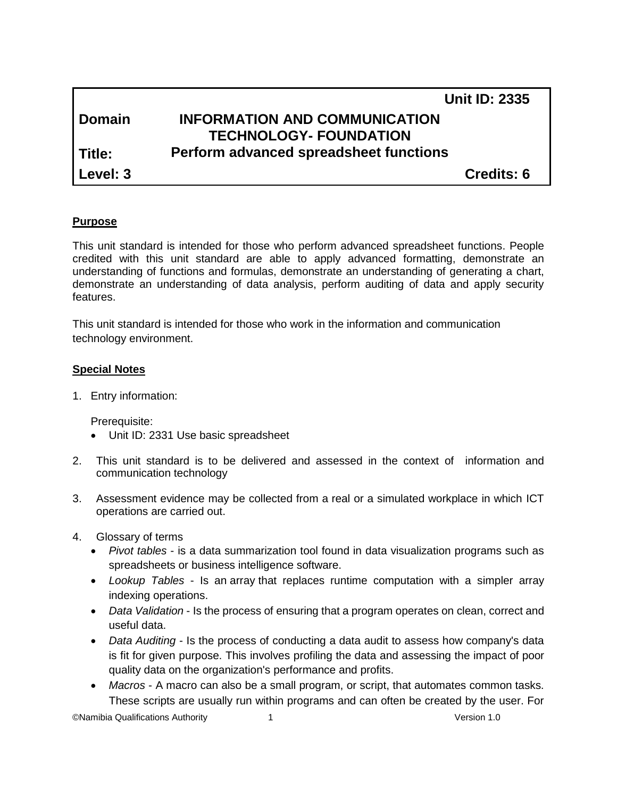|               |                                        | <b>Unit ID: 2335</b> |
|---------------|----------------------------------------|----------------------|
| <b>Domain</b> | <b>INFORMATION AND COMMUNICATION</b>   |                      |
|               | <b>TECHNOLOGY- FOUNDATION</b>          |                      |
| Title:        | Perform advanced spreadsheet functions |                      |
| Level: 3      |                                        | <b>Credits: 6</b>    |

#### **Purpose**

This unit standard is intended for those who perform advanced spreadsheet functions. People credited with this unit standard are able to apply advanced formatting, demonstrate an understanding of functions and formulas, demonstrate an understanding of generating a chart, demonstrate an understanding of data analysis, perform auditing of data and apply security features.

This unit standard is intended for those who work in the information and communication technology environment.

#### **Special Notes**

1. Entry information:

Prerequisite:

- Unit ID: 2331 Use basic spreadsheet
- 2. This unit standard is to be delivered and assessed in the context of information and communication technology
- 3. Assessment evidence may be collected from a real or a simulated workplace in which ICT operations are carried out.
- 4. Glossary of terms
	- *Pivot tables* is a data summarization tool found in data visualization programs such as spreadsheets or business intelligence software.
	- *Lookup Tables* Is an [array](http://en.wikipedia.org/wiki/Array_data_structure) that replaces runtime computation with a simpler array indexing operations.
	- *Data Validation* Is the process of ensuring that a program operates on clean, correct and useful data.
	- *Data Auditing* Is the process of conducting a data audit to assess how company's data is fit for given purpose. This involves profiling the data and assessing the impact of poor quality data on the organization's performance and profits.
	- *Macros* A macro can also be a small program, or script, that automates common tasks. These scripts are usually run within programs and can often be created by the user. For

©Namibia Qualifications Authority 1 Version 1.0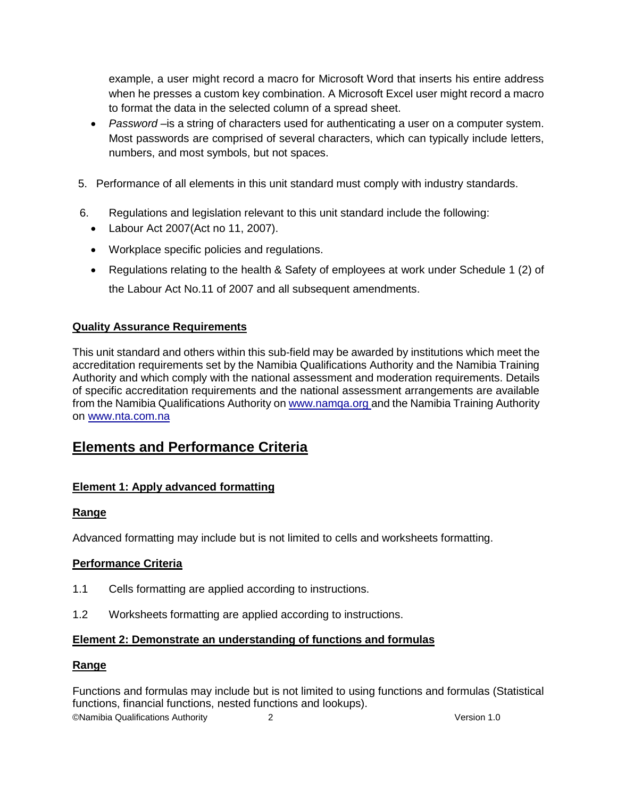example, a user might record a macro for Microsoft Word that inserts his entire address when he presses a custom key combination. A Microsoft Excel user might record a macro to format the data in the selected column of a spread sheet.

- *Password* –is a string of characters used for authenticating a user on a computer system. Most passwords are comprised of several characters, which can typically include letters, numbers, and most symbols, but not spaces.
- 5. Performance of all elements in this unit standard must comply with industry standards.
- 6. Regulations and legislation relevant to this unit standard include the following:
	- Labour Act 2007(Act no 11, 2007).
	- Workplace specific policies and regulations.
	- Regulations relating to the health & Safety of employees at work under Schedule 1 (2) of the Labour Act No.11 of 2007 and all subsequent amendments.

# **Quality Assurance Requirements**

This unit standard and others within this sub-field may be awarded by institutions which meet the accreditation requirements set by the Namibia Qualifications Authority and the Namibia Training Authority and which comply with the national assessment and moderation requirements. Details of specific accreditation requirements and the national assessment arrangements are available from the Namibia Qualifications Authority o[n www.namqa.org a](http://www.namqa.org/)nd the Namibia Training Authority on [www.nta.com.na](http://www.nta.com.na/)

# **Elements and Performance Criteria**

# **Element 1: Apply advanced formatting**

# **Range**

Advanced formatting may include but is not limited to cells and worksheets formatting.

# **Performance Criteria**

- 1.1 Cells formatting are applied according to instructions.
- 1.2 Worksheets formatting are applied according to instructions.

# **Element 2: Demonstrate an understanding of functions and formulas**

#### **Range**

©Namibia Qualifications Authority 2 Version 1.0 Functions and formulas may include but is not limited to using functions and formulas (Statistical functions, financial functions, nested functions and lookups).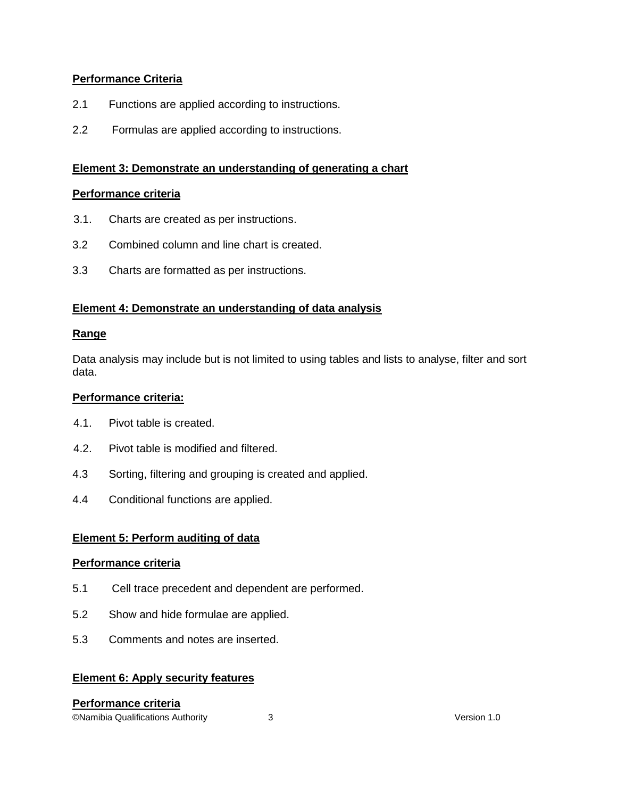# **Performance Criteria**

- 2.1 Functions are applied according to instructions.
- 2.2 Formulas are applied according to instructions.

## **Element 3: Demonstrate an understanding of generating a chart**

#### **Performance criteria**

- 3.1. Charts are created as per instructions.
- 3.2 Combined column and line chart is created.
- 3.3 Charts are formatted as per instructions.

## **Element 4: Demonstrate an understanding of data analysis**

#### **Range**

Data analysis may include but is not limited to using tables and lists to analyse, filter and sort data.

#### **Performance criteria:**

- 4.1. Pivot table is created.
- 4.2. Pivot table is modified and filtered.
- 4.3 Sorting, filtering and grouping is created and applied.
- 4.4 Conditional functions are applied.

#### **Element 5: Perform auditing of data**

#### **Performance criteria**

- 5.1 Cell trace precedent and dependent are performed.
- 5.2 Show and hide formulae are applied.
- 5.3 Comments and notes are inserted.

#### **Element 6: Apply security features**

# ©Namibia Qualifications Authority 3 Version 1.0 **Performance criteria**